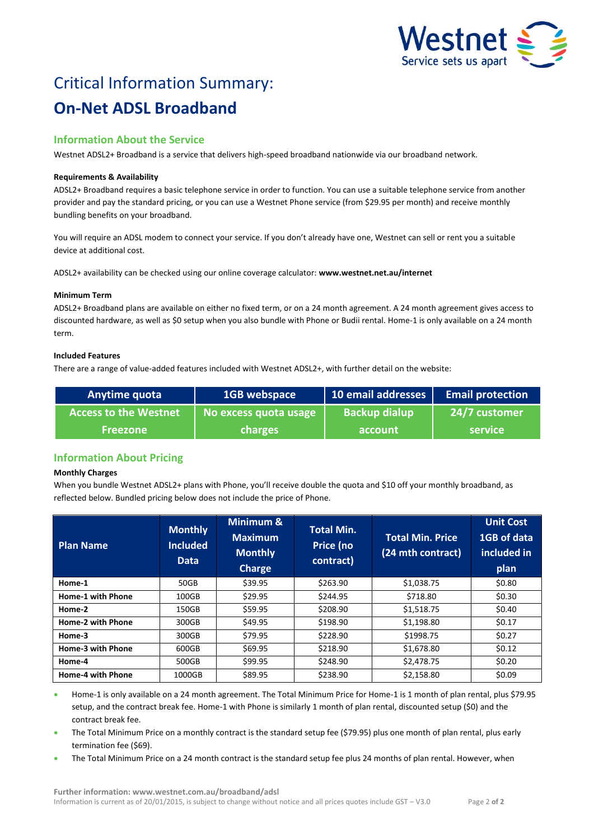

# Critical Information Summary: **On-Net ADSL Broadband**

# **Information About the Service**

Westnet ADSL2+ Broadband is a service that delivers high-speed broadband nationwide via our broadband network.

### **Requirements & Availability**

ADSL2+ Broadband requires a basic telephone service in order to function. You can use a suitable telephone service from another provider and pay the standard pricing, or you can use a Westnet Phone service (from \$29.95 per month) and receive monthly bundling benefits on your broadband.

You will require an ADSL modem to connect your service. If you don't already have one, Westnet can sell or rent you a suitable device at additional cost.

ADSL2+ availability can be checked using our online coverage calculator: **www.westnet.net.au/internet**

## **Minimum Term**

ADSL2+ Broadband plans are available on either no fixed term, or on a 24 month agreement. A 24 month agreement gives access to discounted hardware, as well as \$0 setup when you also bundle with Phone or Budii rental. Home-1 is only available on a 24 month term.

## **Included Features**

There are a range of value-added features included with Westnet ADSL2+, with further detail on the website:

| Anytime quota                | 1GB webspace          | 10 email addresses   | <b>Email protection</b> |
|------------------------------|-----------------------|----------------------|-------------------------|
| <b>Access to the Westnet</b> | No excess quota usage | <b>Backup dialup</b> | 24/7 customer           |
| <b>Freezone</b>              | <b>charges</b>        | account              | <b>service</b>          |

# **Information About Pricing**

#### **Monthly Charges**

When you bundle Westnet ADSL2+ plans with Phone, you'll receive double the quota and \$10 off your monthly broadband, as reflected below. Bundled pricing below does not include the price of Phone.

| <b>Plan Name</b>         | <b>Monthly</b><br><b>Included</b><br><b>Data</b> | Minimum &<br><b>Maximum</b><br><b>Monthly</b><br><b>Charge</b> | <b>Total Min.</b><br>Price (no<br>contract) | <b>Total Min. Price</b><br>(24 mth contract) | <b>Unit Cost</b><br>1GB of data<br>included in<br>plan |
|--------------------------|--------------------------------------------------|----------------------------------------------------------------|---------------------------------------------|----------------------------------------------|--------------------------------------------------------|
| Home-1                   | 50GB                                             | \$39.95                                                        | \$263.90                                    | \$1,038.75                                   | \$0.80                                                 |
| <b>Home-1 with Phone</b> | 100GB                                            | \$29.95                                                        | \$244.95                                    | \$718.80                                     | \$0.30                                                 |
| Home-2                   | 150GB                                            | \$59.95                                                        | \$208.90                                    | \$1,518.75                                   | \$0.40                                                 |
| Home-2 with Phone        | 300GB                                            | \$49.95                                                        | \$198.90                                    | \$1,198.80                                   | \$0.17                                                 |
| Home-3                   | 300GB                                            | \$79.95                                                        | \$228.90                                    | \$1998.75                                    | \$0.27                                                 |
| Home-3 with Phone        | 600GB                                            | \$69.95                                                        | \$218.90                                    | \$1,678.80                                   | \$0.12                                                 |
| Home-4                   | 500GB                                            | \$99.95                                                        | \$248.90                                    | \$2,478.75                                   | \$0.20                                                 |
| <b>Home-4 with Phone</b> | 1000GB                                           | \$89.95                                                        | \$238.90                                    | \$2,158.80                                   | \$0.09                                                 |

 Home-1 is only available on a 24 month agreement. The Total Minimum Price for Home-1 is 1 month of plan rental, plus \$79.95 setup, and the contract break fee. Home-1 with Phone is similarly 1 month of plan rental, discounted setup (\$0) and the contract break fee.

- The Total Minimum Price on a monthly contract is the standard setup fee (\$79.95) plus one month of plan rental, plus early termination fee (\$69).
- The Total Minimum Price on a 24 month contract is the standard setup fee plus 24 months of plan rental. However, when